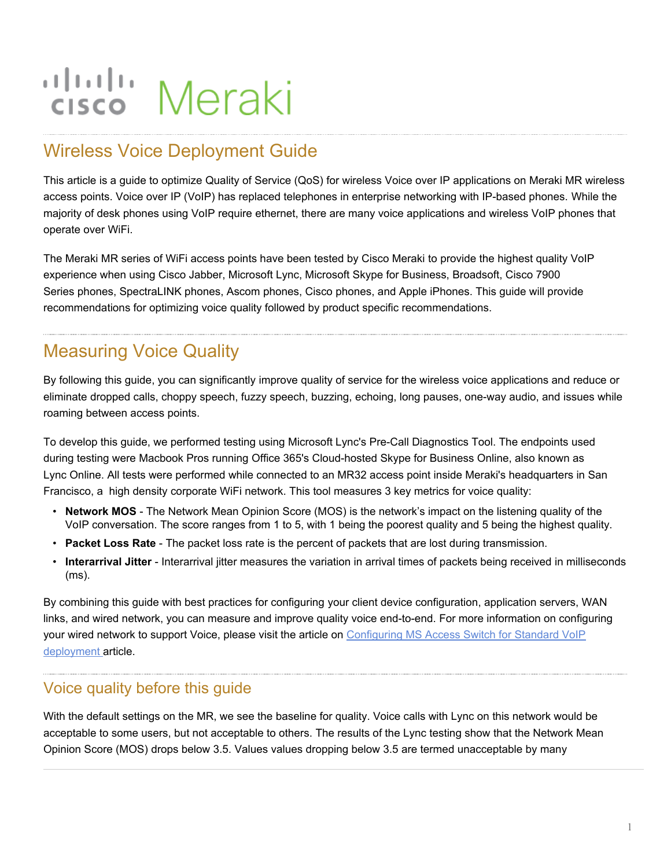# alulu Meraki

# Wireless Voice Deployment Guide

This article is a guide to optimize Quality of Service (QoS) for wireless Voice over IP applications on Meraki MR wireless access points. Voice over IP (VoIP) has replaced telephones in enterprise networking with IP-based phones. While the majority of desk phones using VoIP require ethernet, there are many voice applications and wireless VoIP phones that operate over WiFi.

The Meraki MR series of WiFi access points have been tested by Cisco Meraki to provide the highest quality VoIP experience when using Cisco Jabber, Microsoft Lync, Microsoft Skype for Business, Broadsoft, Cisco 7900 Series phones, SpectraLINK phones, Ascom phones, Cisco phones, and Apple iPhones. This guide will provide recommendations for optimizing voice quality followed by product specific recommendations.

## Measuring Voice Quality

By following this guide, you can significantly improve quality of service for the wireless voice applications and reduce or eliminate dropped calls, choppy speech, fuzzy speech, buzzing, echoing, long pauses, one-way audio, and issues while roaming between access points.

To develop this guide, we performed testing using Microsoft Lync's Pre-Call Diagnostics Tool. The endpoints used during testing were Macbook Pros running Office 365's Cloud-hosted Skype for Business Online, also known as Lync Online. All tests were performed while connected to an MR32 access point inside Meraki's headquarters in San Francisco, a high density corporate WiFi network. This tool measures 3 key metrics for voice quality:

- **Network MOS** The Network Mean Opinion Score (MOS) is the network's impact on the listening quality of the VoIP conversation. The score ranges from 1 to 5, with 1 being the poorest quality and 5 being the highest quality.
- **Packet Loss Rate** The packet loss rate is the percent of packets that are lost during transmission.
- **Interarrival Jitter** Interarrival jitter measures the variation in arrival times of packets being received in milliseconds (ms).

By combining this guide with best practices for configuring your client device configuration, application servers, WAN links, and wired network, you can measure and improve quality voice end-to-end. For more information on configuring your wired network to support Voice, please visit the article on [Configuring MS Access Switch for Standard VoIP](https://documentation.meraki.com/MS/Port_and_VLAN_Configuration/Configuring_the_MS_Access_Switch_for_Standard_VoIP_deployments) [deployment](https://documentation.meraki.com/MS/Port_and_VLAN_Configuration/Configuring_the_MS_Access_Switch_for_Standard_VoIP_deployments) article.

#### Voice quality before this guide

With the default settings on the MR, we see the baseline for quality. Voice calls with Lync on this network would be acceptable to some users, but not acceptable to others. The results of the Lync testing show that the Network Mean Opinion Score (MOS) drops below 3.5. Values values dropping below 3.5 are termed unacceptable by many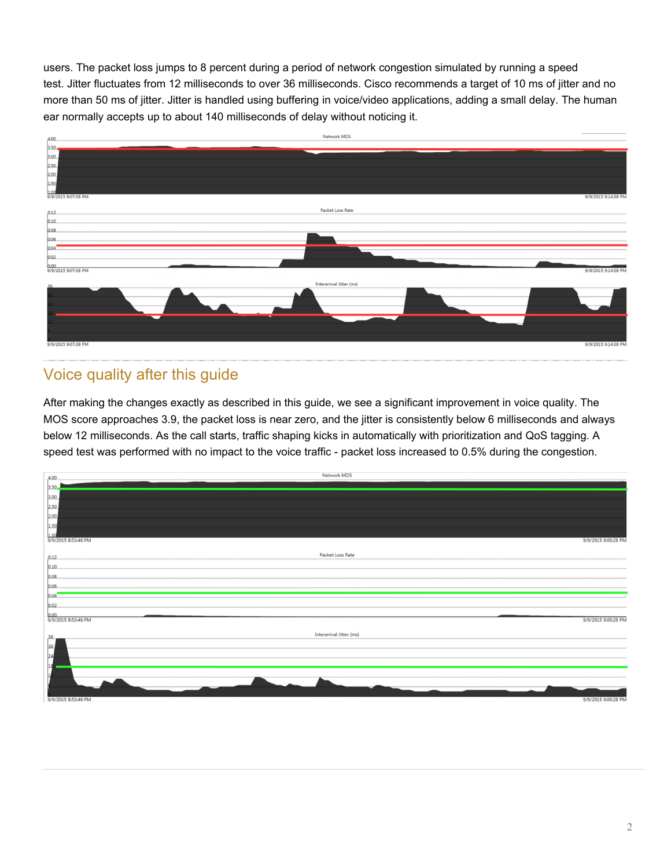users. The packet loss jumps to 8 percent during a period of network congestion simulated by running a speed test. Jitter fluctuates from 12 milliseconds to over 36 milliseconds. Cisco recommends a target of 10 ms of jitter and no more than 50 ms of jitter. Jitter is handled using buffering in voice/video applications, adding a small delay. The human ear normally accepts up to about 140 milliseconds of delay without noticing it.



## Voice quality after this guide

After making the changes exactly as described in this guide, we see a significant improvement in voice quality. The MOS score approaches 3.9, the packet loss is near zero, and the jitter is consistently below 6 milliseconds and always below 12 milliseconds. As the call starts, traffic shaping kicks in automatically with prioritization and QoS tagging. A speed test was performed with no impact to the voice traffic - packet loss increased to 0.5% during the congestion.

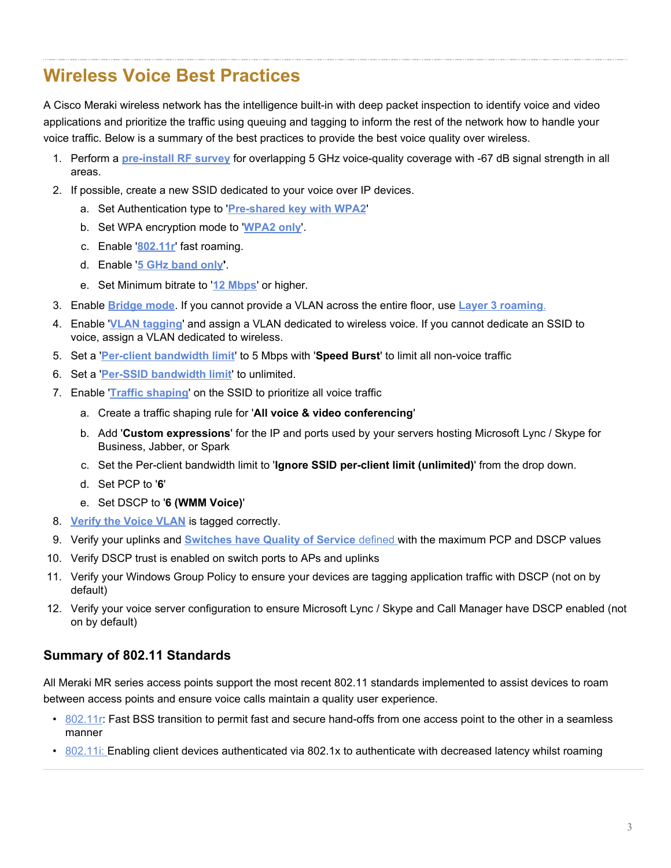## **Wireless Voice Best Practices**

A Cisco Meraki wireless network has the intelligence built-in with deep packet inspection to identify voice and video applications and prioritize the traffic using queuing and tagging to inform the rest of the network how to handle your voice traffic. Below is a summary of the best practices to provide the best voice quality over wireless.

- 1. Perform a **[pre-install RF](#page-3-0) survey** for overlapping 5 GHz voice-quality coverage with -67 dB signal strength in all areas.
- 2. If possible, create a new SSID dedicated to your voice over IP devices.
	- a. Set Authentication type to '**[Pre-shared key with WPA2](#page-4-0)**'
	- b. Set WPA encryption mode to '**[WPA2](https://documentation.meraki.com/MR/WiFi_Basics_and_Best_Practices/Wireless_Voice_Deployment_Guide#WPA2_only_for_Encryption_mode) only**'.
	- c. Enable '**[802.11r](#page-4-1)**' fast roaming.
	- d. Enable '**[5 GHz](#page-6-0) [band only](#page-6-0)'**.
	- e. Set Minimum bitrate to '**12 [Mbps](#page-7-0)**' or higher.
- 3. Enable **[Bridge mode](#page-5-0)**. If you cannot provide a VLAN across the entire floor, use **[Layer 3 roaming](#page-5-0)**.
- 4. Enable '**VLAN [tagging](#page-5-1)**' and assign a VLAN dedicated to wireless voice. If you cannot dedicate an SSID to voice, assign a VLAN dedicated to wireless.
- 5. Set a '**[Per-client bandwidth limit](#page-8-0)**' to 5 Mbps with '**Speed Burst**' to limit all non-voice traffic
- 6. Set a '**[Per-SSID bandwidth limit](#page-8-0)**' to unlimited.
- 7. Enable '**[Traffic shaping](#page-8-0)**' on the SSID to prioritize all voice traffic
	- a. Create a traffic shaping rule for '**All voice & video conferencing**'
	- b. Add '**Custom expressions**' for the IP and ports used by your servers hosting Microsoft Lync / Skype for Business, Jabber, or Spark
	- c. Set the Per-client bandwidth limit to '**Ignore SSID per-client limit (unlimited)**' from the drop down.
	- d. Set PCP to '**6**'
	- e. Set DSCP to '**6 (WMM Voice)**'
- 8. **[Verify the Voice VLAN](https://documentation.meraki.com/MS/Port_and_VLAN_Configuration/Verifying_Voice_and_Data_VLAN_tags_with_LLDP_phones)** is tagged correctly.
- 9. Verify your uplinks and **[Switches have Quality of Service](https://documentation.meraki.com/MS/Other_Topics/MS_Switch_Quality_of_Service_Defined)** defined with the maximum PCP and DSCP values
- 10. Verify DSCP trust is enabled on switch ports to APs and uplinks
- 11. Verify your Windows Group Policy to ensure your devices are tagging application traffic with DSCP (not on by default)
- 12. Verify your voice server configuration to ensure Microsoft Lync / Skype and Call Manager have DSCP enabled (not on by default)

#### **Summary of 802.11 Standards**

All Meraki MR series access points support the most recent 802.11 standards implemented to assist devices to roam between access points and ensure voice calls maintain a quality user experience.

- [802.11r:](https://documentation.meraki.com/MR/WiFi_Basics_and_Best_Practices/802.11k_and_802.11r_Overview) Fast BSS transition to permit fast and secure hand-offs from one access point to the other in a seamless manner
- $\cdot$  [802.11i:](https://documentation.meraki.com/MR/WiFi_Basics_and_Best_Practices/802.11k_and_802.11r_Overview) Enabling client devices authenticated via 802.1x to authenticate with decreased latency whilst roaming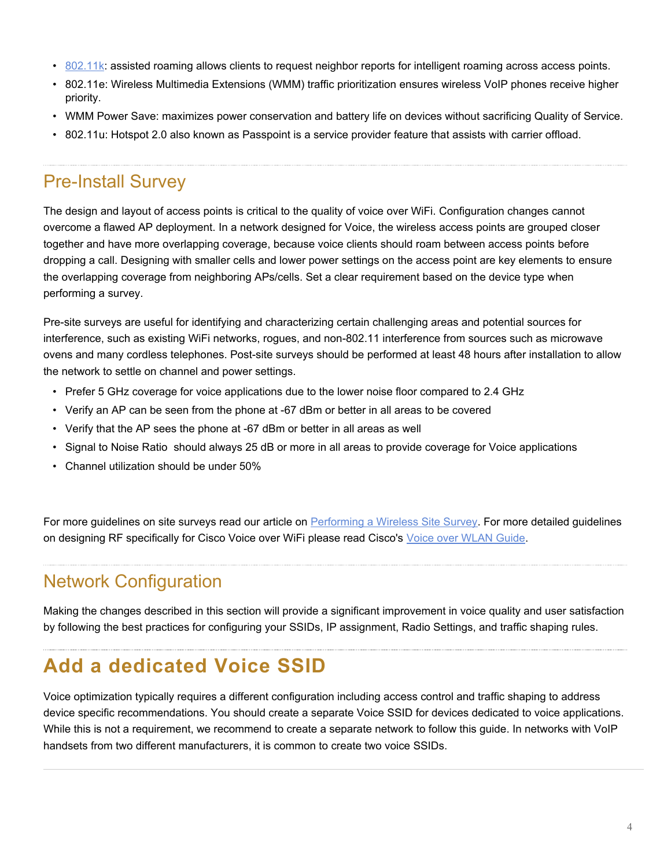- [802.11k](https://documentation.meraki.com/MR/WiFi_Basics_and_Best_Practices/802.11k_and_802.11r_Overview): assisted roaming allows clients to request neighbor reports for intelligent roaming across access points.
- 802.11e: Wireless Multimedia Extensions (WMM) traffic prioritization ensures wireless VoIP phones receive higher priority.
- WMM Power Save: maximizes power conservation and battery life on devices without sacrificing Quality of Service.
- 802.11u: Hotspot 2.0 also known as Passpoint is a service provider feature that assists with carrier offload.

## <span id="page-3-0"></span>Pre-Install Survey

The design and layout of access points is critical to the quality of voice over WiFi. Configuration changes cannot overcome a flawed AP deployment. In a network designed for Voice, the wireless access points are grouped closer together and have more overlapping coverage, because voice clients should roam between access points before dropping a call. Designing with smaller cells and lower power settings on the access point are key elements to ensure the overlapping coverage from neighboring APs/cells. Set a clear requirement based on the device type when performing a survey.

Pre-site surveys are useful for identifying and characterizing certain challenging areas and potential sources for interference, such as existing WiFi networks, rogues, and non-802.11 interference from sources such as microwave ovens and many cordless telephones. Post-site surveys should be performed at least 48 hours after installation to allow the network to settle on channel and power settings.

- Prefer 5 GHz coverage for voice applications due to the lower noise floor compared to 2.4 GHz
- Verify an AP can be seen from the phone at -67 dBm or better in all areas to be covered
- Verify that the AP sees the phone at -67 dBm or better in all areas as well
- Signal to Noise Ratio should always 25 dB or more in all areas to provide coverage for Voice applications
- Channel utilization should be under 50%

For more guidelines on site surveys read our article on [Performing a Wireless Site Survey.](/MR/WiFi_Basics_and_Best_Practices/Conducting_Site_Surveys_with_MR_Access_Points) For more detailed guidelines on designing RF specifically for Cisco Voice over WiFi please read Cisco's [Voice over WLAN Guide](http://www.cisco.com/c/en/us/td/docs/solutions/Enterprise/Mobility/vowlan/41dg/vowlan41dg-book/vowlan_ch3.html).

## Network Configuration

Making the changes described in this section will provide a significant improvement in voice quality and user satisfaction by following the best practices for configuring your SSIDs, IP assignment, Radio Settings, and traffic shaping rules.

# **Add a dedicated Voice SSID**

Voice optimization typically requires a different configuration including access control and traffic shaping to address device specific recommendations. You should create a separate Voice SSID for devices dedicated to voice applications. While this is not a requirement, we recommend to create a separate network to follow this guide. In networks with VoIP handsets from two different manufacturers, it is common to create two voice SSIDs.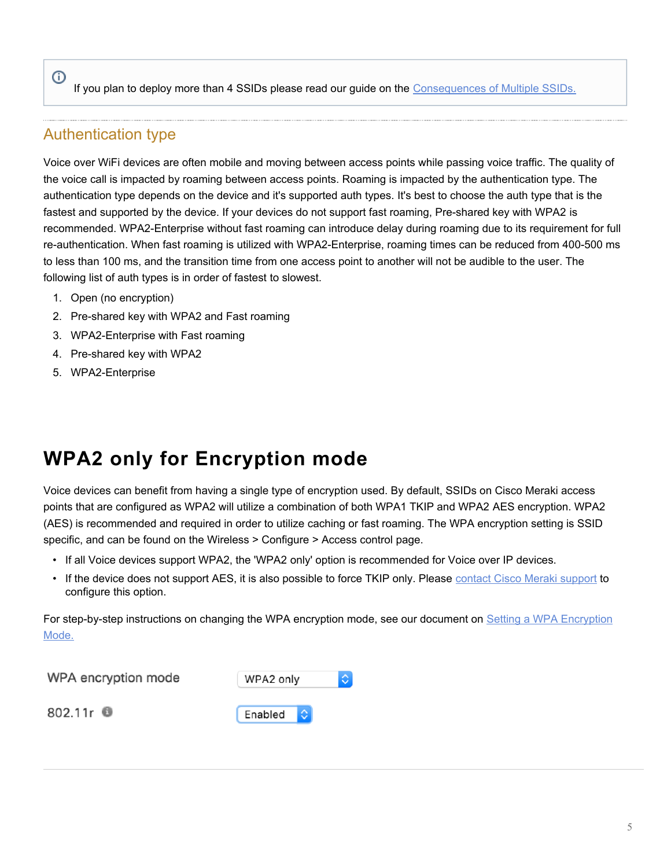#### If you plan to deploy more than 4 SSIDs please read our guide on the [Consequences of Multiple SSIDs.](https://documentation.meraki.com/MR/WiFi_Basics_and_Best_Practices/Multi-SSID_Deployment_Considerations)

#### <span id="page-4-0"></span>Authentication type

 $\odot$ 

Voice over WiFi devices are often mobile and moving between access points while passing voice traffic. The quality of the voice call is impacted by roaming between access points. Roaming is impacted by the authentication type. The authentication type depends on the device and it's supported auth types. It's best to choose the auth type that is the fastest and supported by the device. If your devices do not support fast roaming, Pre-shared key with WPA2 is recommended. WPA2-Enterprise without fast roaming can introduce delay during roaming due to its requirement for full re-authentication. When fast roaming is utilized with WPA2-Enterprise, roaming times can be reduced from 400-500 ms to less than 100 ms, and the transition time from one access point to another will not be audible to the user. The following list of auth types is in order of fastest to slowest.

- 1. Open (no encryption)
- 2. Pre-shared key with WPA2 and Fast roaming
- 3. WPA2-Enterprise with Fast roaming
- 4. Pre-shared key with WPA2
- 5. WPA2-Enterprise

# **WPA2 only for Encryption mode**

Voice devices can benefit from having a single type of encryption used. By default, SSIDs on Cisco Meraki access points that are configured as WPA2 will utilize a combination of both WPA1 TKIP and WPA2 AES encryption. WPA2 (AES) is recommended and required in order to utilize caching or fast roaming. The WPA encryption setting is SSID specific, and can be found on the Wireless > Configure > Access control page.

- If all Voice devices support WPA2, the 'WPA2 only' option is recommended for Voice over IP devices.
- If the device does not support AES, it is also possible to force TKIP only. Please [contact Cisco Meraki](/zGeneral_Administration/Support/Contacting_Support) [support](/zGeneral_Administration/Support/Contacting_Support) to configure this option.

For step-by-step instructions on changing the WPA encryption mode, see our document on [Setting a WPA Encryption](https://documentation.meraki.com/MR/Encryption_and_Authentication/Setting_a_WPA_Encryption_Mode) [Mode.](https://documentation.meraki.com/MR/Encryption_and_Authentication/Setting_a_WPA_Encryption_Mode)

WPA encryption mode

<span id="page-4-1"></span>802.11r **0** 

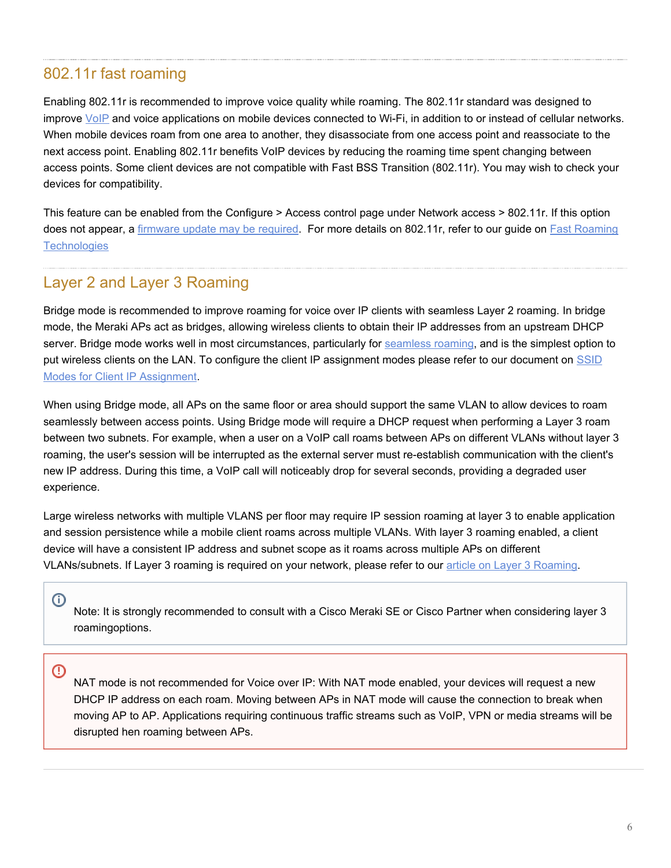#### 802.11r fast roaming

Enabling 802.11r is recommended to improve voice quality while roaming. The 802.11r standard was designed to improve [VoIP](https://en.wikipedia.org/wiki/VOIP) and voice applications on mobile devices connected to Wi-Fi, in addition to or instead of cellular networks. When mobile devices roam from one area to another, they disassociate from one access point and reassociate to the next access point. Enabling 802.11r benefits VoIP devices by reducing the roaming time spent changing between access points. Some client devices are not compatible with Fast BSS Transition (802.11r). You may wish to check your devices for compatibility.

This feature can be enabled from the Configure > Access control page under Network access > 802.11r. If this option does not appear, a [firmware update may be required.](/zGeneral_Administration/Firmware_Upgrades/Cisco_Meraki_Firmware_FAQ) For more details on 802.11r, refer to our guide on **[Fast Roaming](/MR/WiFi_Basics_and_Best_Practices/802.11k_and_802.11r_Overview) [Technologies](/MR/WiFi_Basics_and_Best_Practices/802.11k_and_802.11r_Overview)** 

#### <span id="page-5-0"></span>Layer 2 and Layer 3 Roaming

Bridge mode is recommended to improve roaming for voice over IP clients with seamless Layer 2 roaming. In bridge mode, the Meraki APs act as bridges, allowing wireless clients to obtain their IP addresses from an upstream DHCP server. Bridge mode works well in most circumstances, particularly for [seamless roaming,](/MR/WiFi_Basics_and_Best_Practices/Seamless_Roaming_with_MR_Access_Points) and is the simplest option to put wireless clients on the LAN. To configure the client IP assignment modes please refer to our document on [SSID](https://documentation.meraki.com/MR/Client_Addressing_and_Bridging/SSID_Modes_for_Client_IP_Assignment) [Modes for Client IP](https://documentation.meraki.com/MR/Client_Addressing_and_Bridging/SSID_Modes_for_Client_IP_Assignment) [Assignment.](https://documentation.meraki.com/MR/Client_Addressing_and_Bridging/SSID_Modes_for_Client_IP_Assignment)

When using Bridge mode, all APs on the same floor or area should support the same VLAN to allow devices to roam seamlessly between access points. Using Bridge mode will require a DHCP request when performing a Layer 3 roam between two subnets. For example, when a user on a VoIP call roams between APs on different VLANs without layer 3 roaming, the user's session will be interrupted as the external server must re-establish communication with the client's new IP address. During this time, a VoIP call will noticeably drop for several seconds, providing a degraded user experience.

Large wireless networks with multiple VLANS per floor may require IP session roaming at layer 3 to enable application and session persistence while a mobile client roams across multiple VLANs. With layer 3 roaming enabled, a client device will have a consistent IP address and subnet scope as it roams across multiple APs on different VLANs/subnets. If Layer 3 roaming is required on your network, please refer to our [article on Layer 3 Roaming](/MR/Client_Addressing_and_Bridging/Layer_3_Roaming).

Note: It is strongly recommended to consult with a Cisco Meraki SE or Cisco Partner when considering layer 3 roamingoptions.

<span id="page-5-1"></span>⊕

 $\bigcirc$ 

NAT mode is not recommended for Voice over IP: With NAT mode enabled, your devices will request a new DHCP IP address on each roam. Moving between APs in NAT mode will cause the connection to break when moving AP to AP. Applications requiring continuous traffic streams such as VoIP, VPN or media streams will be disrupted hen roaming between APs.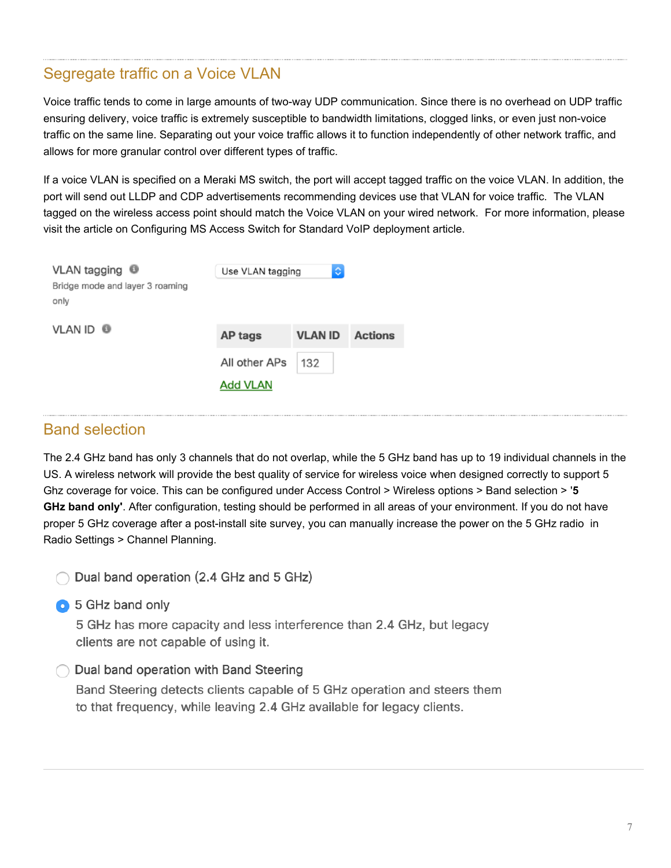#### Segregate traffic on a Voice VLAN

Voice traffic tends to come in large amounts of two-way UDP communication. Since there is no overhead on UDP traffic ensuring delivery, voice traffic is extremely susceptible to bandwidth limitations, clogged links, or even just non-voice traffic on the same line. Separating out your voice traffic allows it to function independently of other network traffic, and allows for more granular control over different types of traffic.

If a voice VLAN is specified on a Meraki MS switch, the port will accept tagged traffic on the voice VLAN. In addition, the port will send out LLDP and CDP advertisements recommending devices use that VLAN for voice traffic. The VLAN tagged on the wireless access point should match the Voice VLAN on your wired network. For more information, please visit the article on Configuring MS Access Switch for Standard VoIP deployment article.

| VLAN tagging <sup>@</sup><br>Bridge mode and layer 3 roaming<br>only | ¢<br>Use VLAN tagging |                |                |  |  |
|----------------------------------------------------------------------|-----------------------|----------------|----------------|--|--|
| <b>VLAN ID ®</b>                                                     | AP tags               | <b>VLAN ID</b> | <b>Actions</b> |  |  |
|                                                                      | All other APs         | 132            |                |  |  |
|                                                                      | <b>Add VLAN</b>       |                |                |  |  |

#### <span id="page-6-0"></span>Band selection

The 2.4 GHz band has only 3 channels that do not overlap, while the 5 GHz band has up to 19 individual channels in the US. A wireless network will provide the best quality of service for wireless voice when designed correctly to support 5 Ghz coverage for voice. This can be configured under Access Control > Wireless options > Band selection > '**5 GHz band only'**. After configuration, testing should be performed in all areas of your environment. If you do not have proper 5 GHz coverage after a post-install site survey, you can manually increase the power on the 5 GHz radio in Radio Settings > Channel Planning.

Dual band operation (2.4 GHz and 5 GHz)

**6** 5 GHz band only

5 GHz has more capacity and less interference than 2.4 GHz, but legacy clients are not capable of using it.

#### ◯ Dual band operation with Band Steering

Band Steering detects clients capable of 5 GHz operation and steers them to that frequency, while leaving 2.4 GHz available for legacy clients.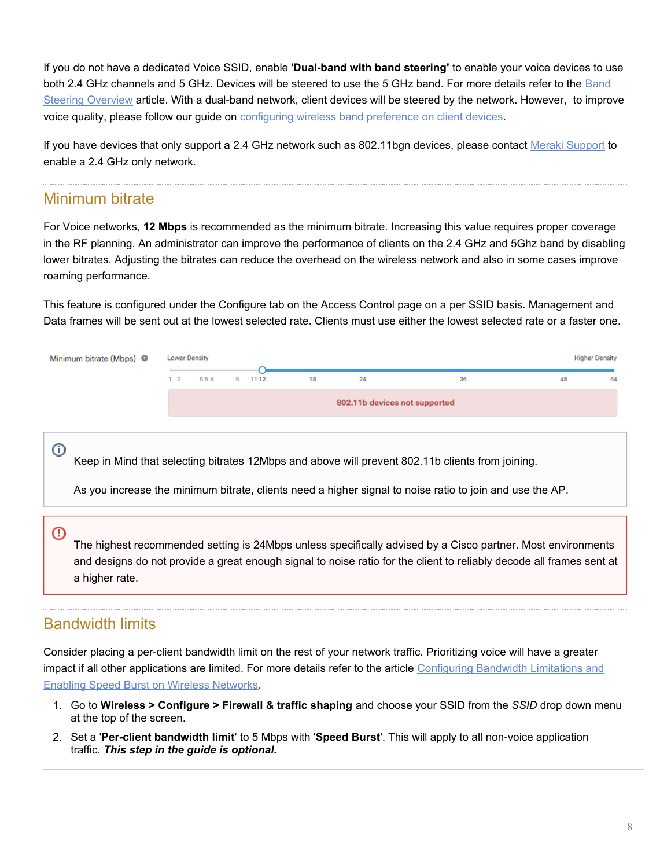If you do not have a dedicated Voice SSID, enable '**Dual-band with band steering'** to enable your voice devices to use both 2.4 GHz channels and 5 GHz. Devices will be steered to use the 5 GHz band. For more details refer to the [Band](https://documentation.meraki.com/MR/Radio_Settings/Band_Steering_Overview) [Steering Overview](https://documentation.meraki.com/MR/Radio_Settings/Band_Steering_Overview) article. With a dual-band network, client devices will be steered by the network. However, to improve voice quality, please follow our guide on [configuring wireless band preference on client devices](https://documentation.meraki.com/MR/Other_Topics/Configuring_wireless_band_preference_on_client_devices).

If you have devices that only support a 2.4 GHz network such as 802.11bgn devices, please contact Meraki [Support](https://documentation.meraki.com/zGeneral_Administration/Support/Contacting_Support) to enable a 2.4 GHz only network.

#### <span id="page-7-0"></span>Minimum bitrate

For Voice networks, **12 Mbps** is recommended as the minimum bitrate. Increasing this value requires proper coverage in the RF planning. An administrator can improve the performance of clients on the 2.4 GHz and 5Ghz band by disabling lower bitrates. Adjusting the bitrates can reduce the overhead on the wireless network and also in some cases improve roaming performance.

This feature is configured under the Configure tab on the Access Control page on a per SSID basis. Management and Data frames will be sent out at the lowest selected rate. Clients must use either the lowest selected rate or a faster one.

| Minimum bitrate (Mbps) <sup>6</sup> | <b>Lower Density</b> |               |  |    |                               |    | <b>Higher Density</b> |    |
|-------------------------------------|----------------------|---------------|--|----|-------------------------------|----|-----------------------|----|
|                                     | $1\quad 2$           | 5.5 6 9 11 12 |  | 18 | 24                            | 36 | 48                    | 54 |
|                                     |                      |               |  |    | 802.11b devices not supported |    |                       |    |

Keep in Mind that selecting bitrates 12Mbps and above will prevent 802.11b clients from joining.

As you increase the minimum bitrate, clients need a higher signal to noise ratio to join and use the AP.

#### $\circ$

 $\odot$ 

The highest recommended setting is 24Mbps unless specifically advised by a Cisco partner. Most environments and designs do not provide a great enough signal to noise ratio for the client to reliably decode all frames sent at a higher rate.

#### Bandwidth limits

Consider placing a per-client bandwidth limit on the rest of your network traffic. Prioritizing voice will have a greater impact if all other applications are limited. For more details refer to the article [Configuring Bandwidth Limitations and](https://documentation.meraki.com/MR/Firewall_and_Traffic_Shaping/Configuring_Bandwidth_Limitations_and_Enabling_Speed_Burst_on_Wireless_Networks) [Enabling Speed Burst on Wireless Networks.](https://documentation.meraki.com/MR/Firewall_and_Traffic_Shaping/Configuring_Bandwidth_Limitations_and_Enabling_Speed_Burst_on_Wireless_Networks)

- 1. Go to **Wireless > Configure > Firewall & traffic shaping** and choose your SSID from the *SSID* drop down menu at the top of the screen.
- 2. Set a '**Per-client bandwidth limit**' to 5 Mbps with '**Speed Burst**'. This will apply to all non-voice application traffic. *This step in the guide is optional.*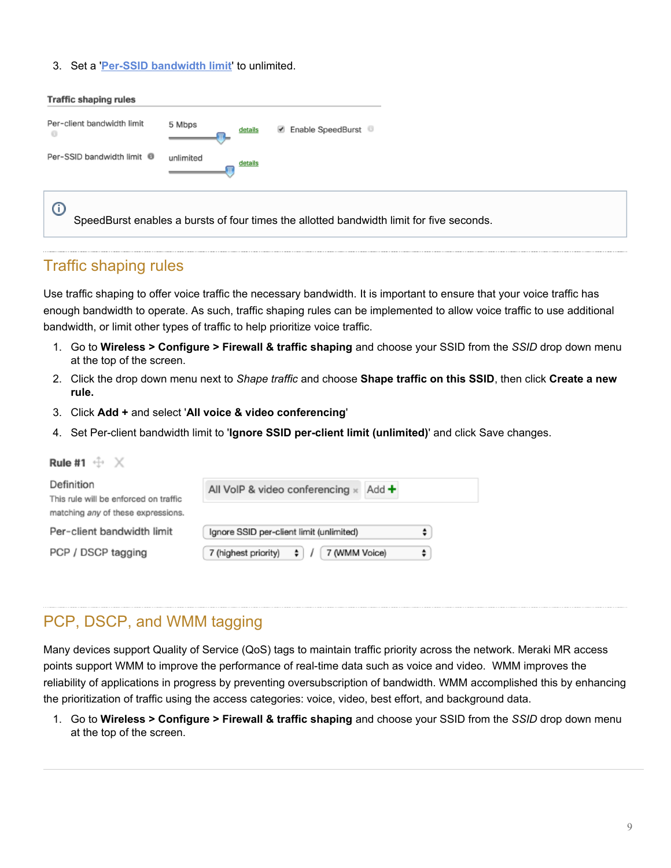#### 3. Set a '**[Per-SSID bandwidth limit](#page-8-0)**' to unlimited.

| <b>Traffic shaping rules</b>                 |                      |                                                                                          |
|----------------------------------------------|----------------------|------------------------------------------------------------------------------------------|
| Per-client bandwidth limit<br>$\circledcirc$ | 5 Mbps<br>details    | ■ Enable SpeedBurst ■                                                                    |
| Per-SSID bandwidth limit <sup>6</sup>        | unlimited<br>details |                                                                                          |
| $\odot$                                      |                      | SpeedBurst enables a bursts of four times the allotted bandwidth limit for five seconds. |

#### <span id="page-8-0"></span>Traffic shaping rules

Pule #1  $\stackrel{4}{\leftrightarrow}$   $\frac{1}{\times}$ 

Use traffic shaping to offer voice traffic the necessary bandwidth. It is important to ensure that your voice traffic has enough bandwidth to operate. As such, traffic shaping rules can be implemented to allow voice traffic to use additional bandwidth, or limit other types of traffic to help prioritize voice traffic.

- 1. Go to **Wireless > Configure > Firewall & traffic shaping** and choose your SSID from the *SSID* drop down menu at the top of the screen.
- 2. Click the drop down menu next to *Shape traffic* and choose **Shape traffic on this SSID**, then click **Create a new rule.**
- 3. Click **Add +** and select '**All voice & video conferencing**'
- 4. Set Per-client bandwidth limit to '**Ignore SSID per-client limit (unlimited)**' and click Save changes.

| $\cdots$                                            |                                                     |
|-----------------------------------------------------|-----------------------------------------------------|
| Definition<br>This rule will be enforced on traffic | All VoIP & video conferencing x<br>Add +            |
| matching any of these expressions.                  |                                                     |
| Per-client bandwidth limit                          | Ignore SSID per-client limit (unlimited)            |
| PCP / DSCP tagging                                  | 7 (highest priority) $\div$ /<br>7 (WMM Voice)<br>٠ |

#### PCP, DSCP, and WMM tagging

Many devices support Quality of Service (QoS) tags to maintain traffic priority across the network. Meraki MR access points support WMM to improve the performance of real-time data such as voice and video. WMM improves the reliability of applications in progress by preventing oversubscription of bandwidth. WMM accomplished this by enhancing the prioritization of traffic using the access categories: voice, video, best effort, and background data.

1. Go to **Wireless > Configure > Firewall & traffic shaping** and choose your SSID from the *SSID* drop down menu at the top of the screen.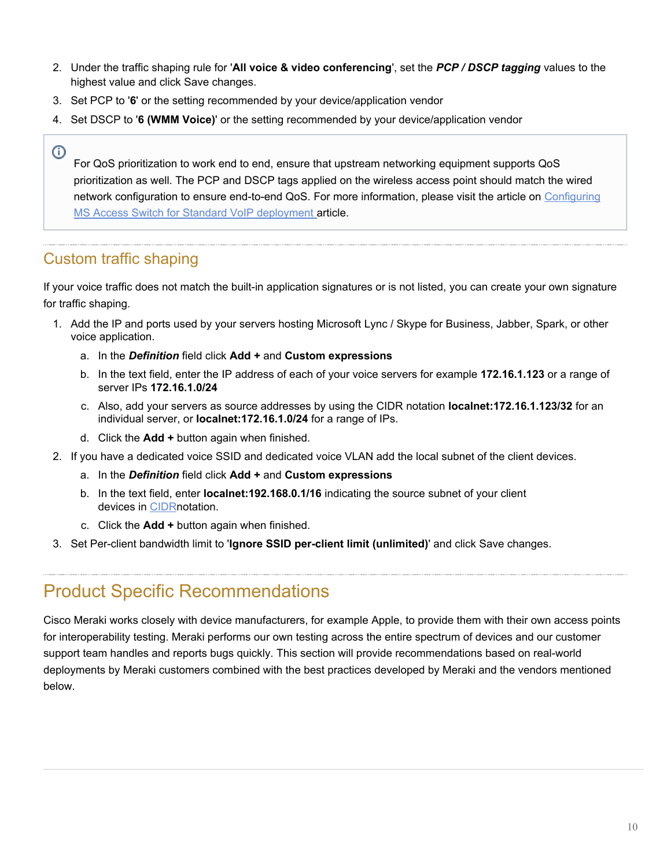- 2. Under the traffic shaping rule for '**All voice & video conferencing**', set the *PCP / DSCP tagging* values to the highest value and click Save changes.
- 3. Set PCP to '**6**' or the setting recommended by your device/application vendor
- 4. Set DSCP to '**6 (WMM Voice)**' or the setting recommended by your device/application vendor

For QoS prioritization to work end to end, ensure that upstream networking equipment supports QoS prioritization as well. The PCP and DSCP tags applied on the wireless access point should match the wired network configuration to ensure end-to-end QoS. For more information, please visit the article on [Configuring](https://documentation.meraki.com/MS/Port_and_VLAN_Configuration/Configuring_the_MS_Access_Switch_for_Standard_VoIP_deployments) [MS Access Switch for Standard VoIP deployment](https://documentation.meraki.com/MS/Port_and_VLAN_Configuration/Configuring_the_MS_Access_Switch_for_Standard_VoIP_deployments) article.

#### Custom traffic shaping

 $\odot$ 

If your voice traffic does not match the built-in application signatures or is not listed, you can create your own signature for traffic shaping.

- 1. Add the IP and ports used by your servers hosting Microsoft Lync / Skype for Business, Jabber, Spark, or other voice application.
	- a. In the *Definition* field click **Add +** and **Custom expressions**
	- b. In the text field, enter the IP address of each of your voice servers for example **172.16.1.123** or a range of server IPs **172.16.1.0/24**
	- c. Also, add your servers as source addresses by using the CIDR notation **localnet:172.16.1.123/32** for an individual server, or **localnet:172.16.1.0/24** for a range of IPs.
	- d. Click the **Add +** button again when finished.
- 2. If you have a dedicated voice SSID and dedicated voice VLAN add the local subnet of the client devices.
	- a. In the *Definition* field click **Add +** and **Custom expressions**
	- b. In the text field, enter **localnet:192.168.0.1/16** indicating the source subnet of your client devices in [CIDR](http://en.wikipedia.org/wiki/Classless_Inter-Domain_Routing#CIDR_notation)notation.
	- c. Click the **Add +** button again when finished.
- 3. Set Per-client bandwidth limit to '**Ignore SSID per-client limit (unlimited)**' and click Save changes.

## Product Specific Recommendations

Cisco Meraki works closely with device manufacturers, for example Apple, to provide them with their own access points for interoperability testing. Meraki performs our own testing across the entire spectrum of devices and our customer support team handles and reports bugs quickly. This section will provide recommendations based on real-world deployments by Meraki customers combined with the best practices developed by Meraki and the vendors mentioned below.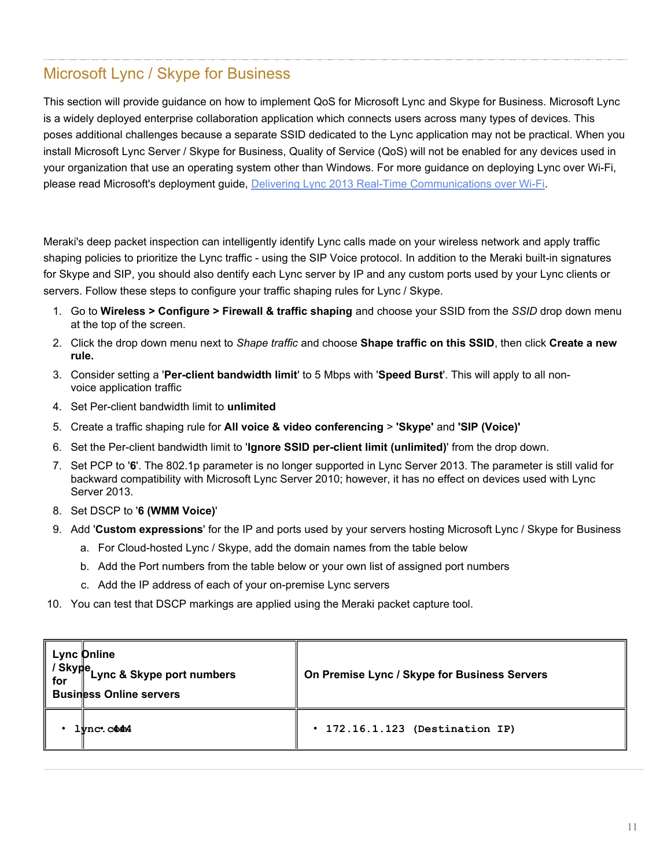## Microsoft Lync / Skype for Business

This section will provide guidance on how to implement QoS for Microsoft Lync and Skype for Business. Microsoft Lync is a widely deployed enterprise collaboration application which connects users across many types of devices. This poses additional challenges because a separate SSID dedicated to the Lync application may not be practical. When you install Microsoft Lync Server / Skype for Business, Quality of Service (QoS) will not be enabled for any devices used in your organization that use an operating system other than Windows. For more guidance on deploying Lync over Wi-Fi, please read Microsoft's deployment guide, [Delivering Lync 2013 Real-Time Communications over Wi-Fi](http://www.microsoft.com/en-us/download/details.aspx?id=36494).

Meraki's deep packet inspection can intelligently identify Lync calls made on your wireless network and apply traffic shaping policies to prioritize the Lync traffic - using the SIP Voice protocol. In addition to the Meraki built-in signatures for Skype and SIP, you should also dentify each Lync server by IP and any custom ports used by your Lync clients or servers. Follow these steps to configure your traffic shaping rules for Lync / Skype.

- 1. Go to **Wireless > Configure > Firewall & traffic shaping** and choose your SSID from the *SSID* drop down menu at the top of the screen.
- 2. Click the drop down menu next to *Shape traffic* and choose **Shape traffic on this SSID**, then click **Create a new rule.**
- 3. Consider setting a '**Per-client bandwidth limit**' to 5 Mbps with '**Speed Burst**'. This will apply to all nonvoice application traffic
- 4. Set Per-client bandwidth limit to **unlimited**
- 5. Create a traffic shaping rule for **All voice & video conferencing** > **'Skype'** and **'SIP (Voice)'**
- 6. Set the Per-client bandwidth limit to '**Ignore SSID per-client limit (unlimited)**' from the drop down.
- 7. Set PCP to '**6**'. The 802.1p parameter is no longer supported in Lync Server 2013. The parameter is still valid for backward compatibility with Microsoft Lync Server 2010; however, it has no effect on devices used with Lync Server 2013.
- 8. Set DSCP to '**6 (WMM Voice)**'
- 9. Add '**Custom expressions**' for the IP and ports used by your servers hosting Microsoft Lync / Skype for Business
	- a. For Cloud-hosted Lync / Skype, add the domain names from the table below
	- b. Add the Port numbers from the table below or your own list of assigned port numbers
	- c. Add the IP address of each of your on-premise Lync servers
- 10. You can test that DSCP markings are applied using the Meraki packet capture tool.

| Lync Online<br>/ Skype<br>for Lync & Skype port numbers<br><b>Business Online servers</b> | On Premise Lync / Skype for Business Servers |
|-------------------------------------------------------------------------------------------|----------------------------------------------|
| $1$ <i>vnc</i> . $c$ $44$                                                                 | $\cdot$ 172.16.1.123 (Destination IP)        |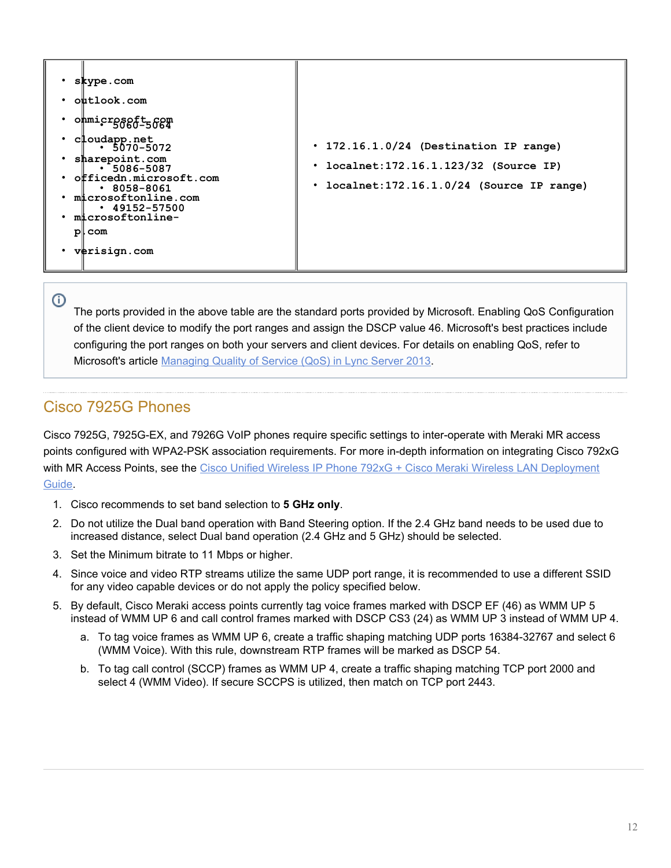

 $\odot$ 

The ports provided in the above table are the standard ports provided by Microsoft. Enabling QoS Configuration of the client device to modify the port ranges and assign the DSCP value 46. Microsoft's best practices include configuring the port ranges on both your servers and client devices. For details on enabling QoS, refer to Microsoft's article [Managing Quality of Service \(QoS\) in Lync Server 2013](https://technet.microsoft.com/en-us/library/gg405409.aspx).

## Cisco 7925G Phones

Cisco 7925G, 7925G-EX, and 7926G VoIP phones require specific settings to inter-operate with Meraki MR access points configured with WPA2-PSK association requirements. For more in-depth information on integrating Cisco 792xG with MR Access Points, see the [Cisco Unified Wireless IP Phone 792xG + Cisco Meraki](http://www.cisco.com/en/US/docs/voice_ip_comm/cuipph/7925g/7_0/english/deployment/guide/7925_Meraki_dply.pdf) [Wireless LAN Deployment](http://www.cisco.com/en/US/docs/voice_ip_comm/cuipph/7925g/7_0/english/deployment/guide/7925_Meraki_dply.pdf) [Guide](http://www.cisco.com/en/US/docs/voice_ip_comm/cuipph/7925g/7_0/english/deployment/guide/7925_Meraki_dply.pdf).

- 1. Cisco recommends to set band selection to **5 GHz only**.
- 2. Do not utilize the Dual band operation with Band Steering option. If the 2.4 GHz band needs to be used due to increased distance, select Dual band operation (2.4 GHz and 5 GHz) should be selected.
- 3. Set the Minimum bitrate to 11 Mbps or higher.
- 4. Since voice and video RTP streams utilize the same UDP port range, it is recommended to use a different SSID for any video capable devices or do not apply the policy specified below.
- 5. By default, Cisco Meraki access points currently tag voice frames marked with DSCP EF (46) as WMM UP 5 instead of WMM UP 6 and call control frames marked with DSCP CS3 (24) as WMM UP 3 instead of WMM UP 4.
	- a. To tag voice frames as WMM UP 6, create a traffic shaping matching UDP ports 16384-32767 and select 6 (WMM Voice). With this rule, downstream RTP frames will be marked as DSCP 54.
	- b. To tag call control (SCCP) frames as WMM UP 4, create a traffic shaping matching TCP port 2000 and select 4 (WMM Video). If secure SCCPS is utilized, then match on TCP port 2443.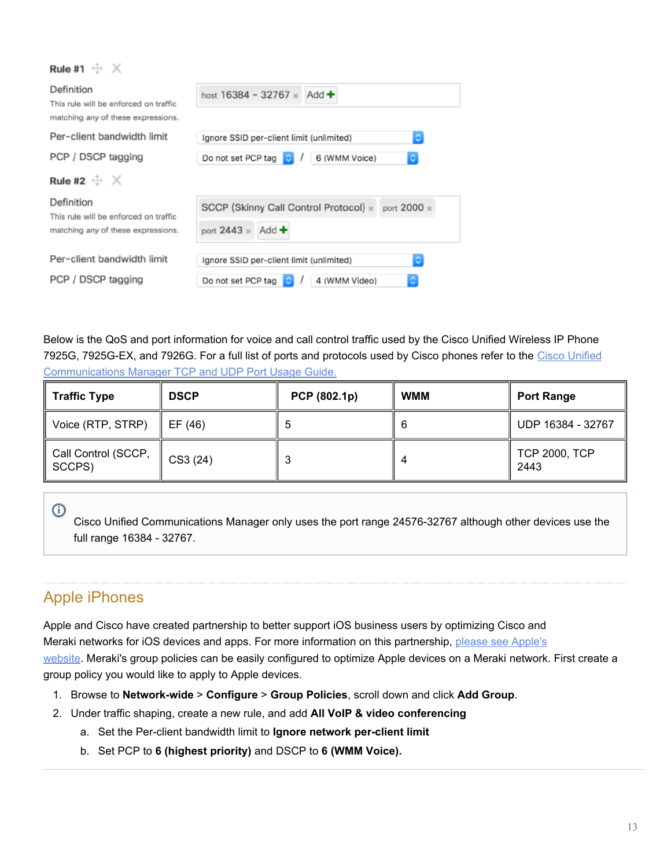| Rule #1 $\oplus \times$                                                                   |                                                                               |
|-------------------------------------------------------------------------------------------|-------------------------------------------------------------------------------|
| Definition<br>This rule will be enforced on traffic<br>matching any of these expressions. | host $16384 - 32767 \times$ Add $\div$                                        |
| Per-client bandwidth limit                                                                | I¢.<br>Ignore SSID per-client limit (unlimited)                               |
| PCP / DSCP tagging                                                                        | Do not set PCP tag<br>6 (WMM Voice)<br>¢                                      |
| Rule #2 $\oplus \times$                                                                   |                                                                               |
| Definition<br>This rule will be enforced on traffic<br>matching any of these expressions. | SCCP (Skinny Call Control Protocol) x port 2000 x<br>port $2443 \times$ Add + |
| Per-client bandwidth limit                                                                | ю<br>Ignore SSID per-client limit (unlimited)                                 |
| PCP / DSCP tagging                                                                        | ٥<br>Do not set PCP tag<br>4 (WMM Video)                                      |

Below is the QoS and port information for voice and call control traffic used by the Cisco Unified Wireless IP Phone 7925G, 7925G-EX, and 7926G. For a full list of ports and protocols used by Cisco phones refer to the [Cisco Unified](http://www.cisco.com/c/en/us/td/docs/voice_ip_comm/cucm/port/10_0_1/CUCM_BK_T537717B_00_tcp-port-usage-guide-100/CUCM_BK_T537717B_00_tcp-port-usage-guide-100_chapter_01.html) [Communications Manager TCP and UDP Port Usage Guide.](http://www.cisco.com/c/en/us/td/docs/voice_ip_comm/cucm/port/10_0_1/CUCM_BK_T537717B_00_tcp-port-usage-guide-100/CUCM_BK_T537717B_00_tcp-port-usage-guide-100_chapter_01.html)

| <b>Traffic Type</b>           | <b>DSCP</b> | PCP (802.1p) | <b>WMM</b> | <b>Port Range</b>            |
|-------------------------------|-------------|--------------|------------|------------------------------|
| Voice (RTP, STRP)             | EF (46)     |              | 6          | UDP 16384 - 32767            |
| Call Control (SCCP,<br>SCCPS) | CS3(24)     |              | $\Delta$   | <b>TCP 2000, TCP</b><br>2443 |

Cisco Unified Communications Manager only uses the port range 24576-32767 although other devices use the full range 16384 - 32767.

## Apple iPhones

 $\odot$ 

Apple and Cisco have created partnership to better support iOS business users by optimizing Cisco and Meraki networks for iOS devices and apps. For more information on this partnership, [please see Apple's](http://www.apple.com/pr/library/2015/08/31Apple-and-Cisco-Partner-to-Deliver-Fast-Lane-for-iOS-Enterprise-Users.html) [website.](http://www.apple.com/pr/library/2015/08/31Apple-and-Cisco-Partner-to-Deliver-Fast-Lane-for-iOS-Enterprise-Users.html) Meraki's group policies can be easily configured to optimize Apple devices on a Meraki network. First create a group policy you would like to apply to Apple devices.

- 1. Browse to **Network-wide** > **Configure** > **Group Policies**, scroll down and click **Add Group**.
- 2. Under traffic shaping, create a new rule, and add **All VoIP & video conferencing**
	- a. Set the Per-client bandwidth limit to **Ignore network per-client limit**
	- b. Set PCP to **6 (highest priority)** and DSCP to **6 (WMM Voice).**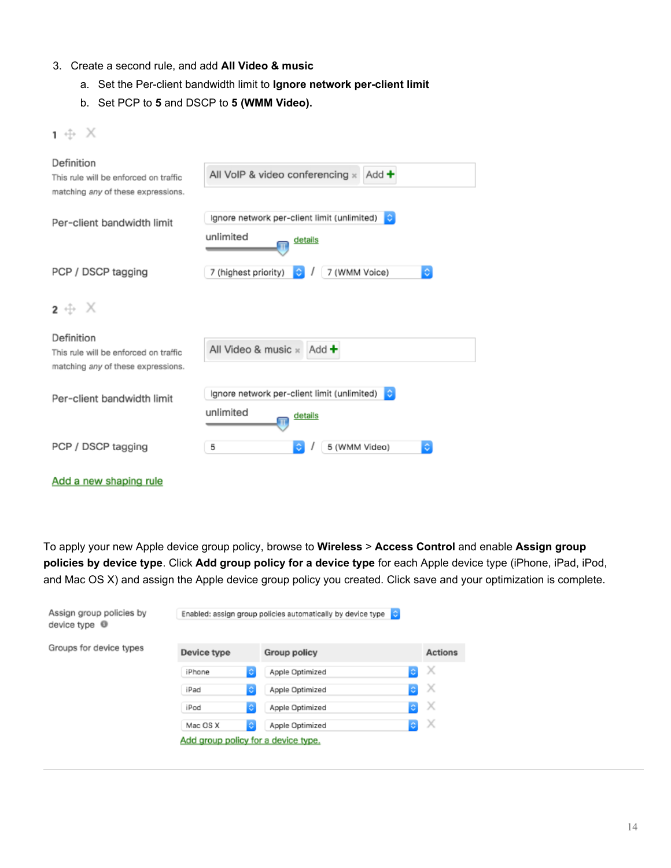#### 3. Create a second rule, and add **All Video & music**

- a. Set the Per-client bandwidth limit to **Ignore network per-client limit**
- b. Set PCP to **5** and DSCP to **5 (WMM Video).**

| Definition<br>This rule will be enforced on traffic<br>matching any of these expressions. | All VoIP & video conferencing $\times$ Add $\div$                        |
|-------------------------------------------------------------------------------------------|--------------------------------------------------------------------------|
| Per-client bandwidth limit                                                                | Ignore network per-client limit (unlimited)<br>unlimited<br>details      |
| PCP / DSCP tagging                                                                        | Ŏ<br>7 (highest priority)<br>7 (WMM Voice)<br>٥                          |
| $2 + X$                                                                                   |                                                                          |
| Definition<br>This rule will be enforced on traffic<br>matching any of these expressions. | All Video & music $\times$ Add $\pm$                                     |
| Per-client bandwidth limit                                                                | Ignore network per-client limit (unlimited)<br>ю<br>unlimited<br>details |
| PCP / DSCP tagging                                                                        | ٥<br>5 (WMM Video)<br>5<br>٥                                             |

Add a new shaping rule

 $1 \oplus X$ 

To apply your new Apple device group policy, browse to **Wireless** > **Access Control** and enable **Assign group policies by device type**. Click **Add group policy for a device type** for each Apple device type (iPhone, iPad, iPod, and Mac OS X) and assign the Apple device group policy you created. Click save and your optimization is complete.

| Assign group policies by<br>device type $\bullet$ |                                     | Enabled: assign group policies automatically by device type e |                |
|---------------------------------------------------|-------------------------------------|---------------------------------------------------------------|----------------|
| Groups for device types                           | Device type                         | Group policy                                                  | <b>Actions</b> |
|                                                   | G.<br>iPhone                        | e.<br>Apple Optimized                                         | X              |
|                                                   | C.<br>iPad                          | $ \mathbb{C} $<br>Apple Optimized                             | х              |
|                                                   | C.<br>iPod                          | $ \diamond $<br>Apple Optimized                               | X              |
|                                                   | IC.<br>Mac OS X                     | <b>O</b><br>Apple Optimized                                   | Х              |
|                                                   | Add group policy for a device type. |                                                               |                |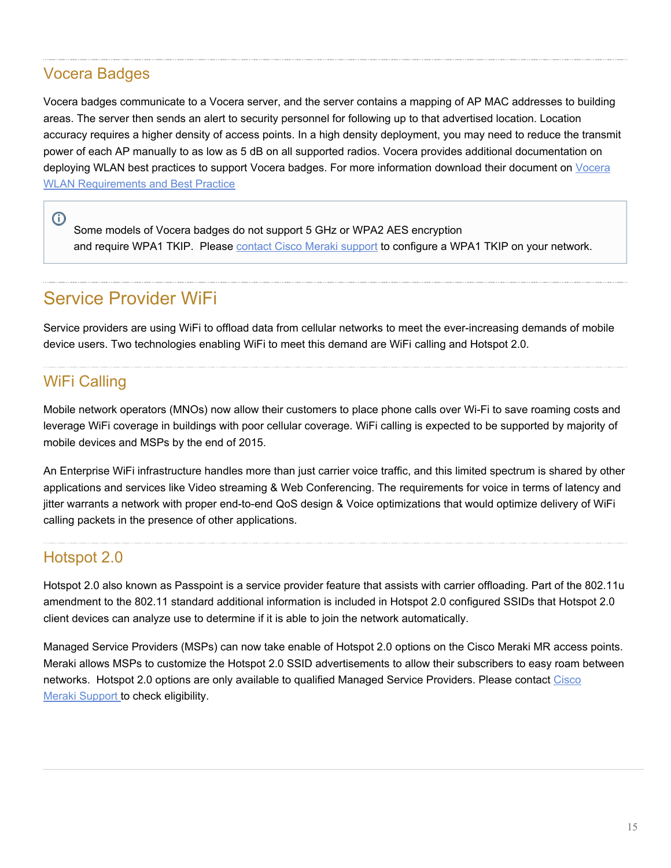#### Vocera Badges

Vocera badges communicate to a Vocera server, and the server contains a mapping of AP MAC addresses to building areas. The server then sends an alert to security personnel for following up to that advertised location. Location accuracy requires a higher density of access points. In a high density deployment, you may need to reduce the transmit power of each AP manually to as low as 5 dB on all supported radios. Vocera provides additional documentation on deploying WLAN best practices to support [Vocera](http://www.vocera.com/resource/vocera-wlan-requirements-and-best-practices) badges. For more information download their document on Vocera [WLAN Requirements and Best Practice](http://www.vocera.com/resource/vocera-wlan-requirements-and-best-practices)

Some models of Vocera badges do not support 5 GHz or WPA2 AES encryption and require WPA1 TKIP. Please [contact Cisco Meraki](/zGeneral_Administration/Support/Contacting_Support) [support](/zGeneral_Administration/Support/Contacting_Support) to configure a WPA1 TKIP on your network.

## Service Provider WiFi

Service providers are using WiFi to offload data from cellular networks to meet the ever-increasing demands of mobile device users. Two technologies enabling WiFi to meet this demand are WiFi calling and Hotspot 2.0.

#### WiFi Calling

⋒

Mobile network operators (MNOs) now allow their customers to place phone calls over Wi-Fi to save roaming costs and leverage WiFi coverage in buildings with poor cellular coverage. WiFi calling is expected to be supported by majority of mobile devices and MSPs by the end of 2015.

An Enterprise WiFi infrastructure handles more than just carrier voice traffic, and this limited spectrum is shared by other applications and services like Video streaming & Web Conferencing. The requirements for voice in terms of latency and jitter warrants a network with proper end-to-end QoS design & Voice optimizations that would optimize delivery of WiFi calling packets in the presence of other applications.

#### Hotspot 2.0

Hotspot 2.0 also known as Passpoint is a service provider feature that assists with carrier offloading. Part of the 802.11u amendment to the 802.11 standard additional information is included in Hotspot 2.0 configured SSIDs that Hotspot 2.0 client devices can analyze use to determine if it is able to join the network automatically.

Managed Service Providers (MSPs) can now take enable of Hotspot 2.0 options on the Cisco Meraki MR access points. Meraki allows MSPs to customize the Hotspot 2.0 SSID advertisements to allow their subscribers to easy roam between networks. Hotspot 2.0 options are only available to qualified Managed Service Providers. Please contact [Cisco](https://meraki.cisco.com/support/) Meraki [Support](https://meraki.cisco.com/support/) to check eligibility.